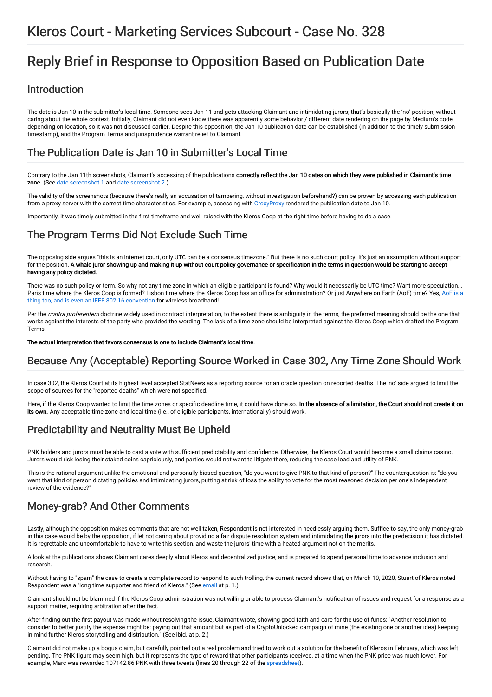# Kleros Court - Marketing Services Subcourt - Case No. 328

# Reply Brief in Response to Opposition Based on Publication Date

#### Introduction

The date is Jan 10 in the submitter's local time. Someone sees Jan 11 and gets attacking Claimant and intimidating jurors; that's basically the 'no' position, without caring about the whole context. Initially, Claimant did not even know there was apparently some behavior / different date rendering on the page by Medium's code depending on location, so it was not discussed earlier. Despite this opposition, the Jan 10 publication date can be established (in addition to the timely submission timestamp), and the Program Terms and jurisprudence warrant relief to Claimant.

### The Publication Date is Jan 10 in Submitter's Local Time

Contrary to the Jan 11th screenshots, Claimant's accessing of the publications correctly reflect the Jan 10 dates on which they were published in Claimant's time zone. (See date [screenshot](https://ipfs.kleros.io/ipfs/QmUJAZkuBAnr2ZjDn2vfWkDCiWVEDjAQAs77WiB226rDUv) 1 and date [screenshot](https://ipfs.kleros.io/ipfs/QmdwzX8NZNVLqK6EfLfDDFKviCNj18VACb9yV4AYUdeoaH) 2.)

The validity of the screenshots (because there's really an accusation of tampering, without investigation beforehand?) can be proven by accessing each publication from a proxy server with the correct time characteristics. For example, accessing with [CroxyProxy](https://www.croxyproxy.com/) rendered the publication date to Jan 10.

Importantly, it was timely submitted in the first timeframe and well raised with the Kleros Coop at the right time before having to do a case.

## The Program Terms Did Not Exclude Such Time

The opposing side argues "this is an internet court, only UTC can be a consensus timezone." But there is no such court policy. It's just an assumption without support for the position. A whale juror showing up and making it up without court policy governance or specification in the terms in question would be starting to accept having any policy dictated.

There was no such policy or term. So why not any time zone in which an eligible participant is found? Why would it necessarily be UTC time? Want more speculation... Paris time where the Kleros Coop is formed? Lisbon time where the Kleros Coop has an office for [administration?](https://en.wikipedia.org/wiki/Anywhere_on_Earth) Or just Anywhere on Earth (AoE) time? Yes, AoE is a thing too, and is even an IEEE 802.16 convention for wireless broadband!

Per the *contra proferentem* doctrine widely used in contract interpretation, to the extent there is ambiguity in the terms, the preferred meaning should be the one that works against the interests of the party who provided the wording. The lack of a time zone should be interpreted against the Kleros Coop which drafted the Program Terms.

The actual interpretation that favors consensus is one to include Claimant's local time.

## Because Any (Acceptable) Reporting Source Worked in Case 302, Any Time Zone Should Work

In case 302, the Kleros Court at its highest level accepted StatNews as a reporting source for an oracle question on reported deaths. The 'no' side argued to limit the scope of sources for the "reported deaths" which were not specified.

Here, if the Kleros Coop wanted to limit the time zones or specific deadline time, it could have done so. In the absence of a limitation, the Court should not create it on its own. Any acceptable time zone and local time (i.e., of eligible participants, internationally) should work.

# Predictability and Neutrality Must Be Upheld

PNK holders and jurors must be able to cast a vote with sufficient predictability and confidence. Otherwise, the Kleros Court would become a small claims casino. Jurors would risk losing their staked coins capriciously, and parties would not want to litigate there, reducing the case load and utility of PNK.

This is the rational argument unlike the emotional and personally biased question, "do you want to give PNK to that kind of person?" The counterquestion is: "do you want that kind of person dictating policies and intimidating jurors, putting at risk of loss the ability to vote for the most reasoned decision per one's independent review of the evidence?

## Money-grab? And Other Comments

Lastly, although the opposition makes comments that are not well taken, Respondent is not interested in needlessly arguing them. Suffice to say, the only money-grab in this case would be by the opposition, if let not caring about providing a fair dispute resolution system and intimidating the jurors into the predecision it has dictated. It is regrettable and uncomfortable to have to write this section, and waste the jurors' time with a heated argument not on the merits.

A look at the publications shows Claimant cares deeply about Kleros and decentralized justice, and is prepared to spend personal time to advance inclusion and research.

Without having to "spam" the case to create a complete record to respond to such trolling, the current record shows that, on March 10, 2020, Stuart of Kleros noted Respondent was a "long time supporter and friend of Kleros." (See [email](https://ipfs.kleros.io/ipfs/Qmdsy4WAu6uctFfXVUBKM7xpv9YR5BHBR3LZx6jjpM9T4d) at p. 1.)

Claimant should not be blammed if the Kleros Coop administration was not willing or able to process Claimant's notification of issues and request for a response as a support matter, requiring arbitration after the fact.

After finding out the first payout was made without resolving the issue, Claimant wrote, showing good faith and care for the use of funds: "Another resolution to consider to better justify the expense might be: paying out that amount but as part of a CryptoUnlocked campaign of mine (the existing one or another idea) keeping in mind further Kleros storytelling and distribution." (See ibid. at p. 2.)

Claimant did not make up a bogus claim, but carefully pointed out a real problem and tried to work out a solution for the benefit of Kleros in February, which was left pending. The PNK figure may seem high, but it represents the type of reward that other participants received, at a time when the PNK price was much lower. For example, Marc was rewarded 107142.86 PNK with three tweets (lines 20 through 22 of the [spreadsheet](https://docs.google.com/spreadsheets/d/1RPWm69LkhGTqs4dDaydhYUQs1potq7nrYArHcB5bbf0/edit#gid=0)).